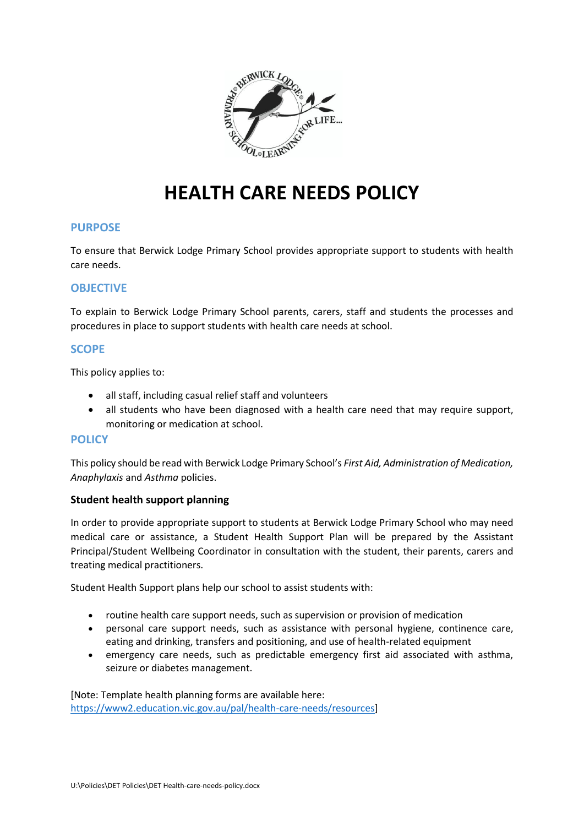

# **HEALTH CARE NEEDS POLICY**

#### **PURPOSE**

To ensure that Berwick Lodge Primary School provides appropriate support to students with health care needs.

# **OBJECTIVE**

To explain to Berwick Lodge Primary School parents, carers, staff and students the processes and procedures in place to support students with health care needs at school.

# **SCOPE**

This policy applies to:

- all staff, including casual relief staff and volunteers
- all students who have been diagnosed with a health care need that may require support, monitoring or medication at school.

#### **POLICY**

This policy should be read with Berwick Lodge Primary School's *First Aid, Administration of Medication, Anaphylaxis* and *Asthma* policies.

# **Student health support planning**

In order to provide appropriate support to students at Berwick Lodge Primary School who may need medical care or assistance, a Student Health Support Plan will be prepared by the Assistant Principal/Student Wellbeing Coordinator in consultation with the student, their parents, carers and treating medical practitioners.

Student Health Support plans help our school to assist students with:

- routine health care support needs, such as supervision or provision of medication
- personal care support needs, such as assistance with personal hygiene, continence care, eating and drinking, transfers and positioning, and use of health-related equipment
- emergency care needs, such as predictable emergency first aid associated with asthma, seizure or diabetes management.

[Note: Template health planning forms are available here: [https://www2.education.vic.gov.au/pal/health-care-needs/resources\]](https://www2.education.vic.gov.au/pal/health-care-needs/resources)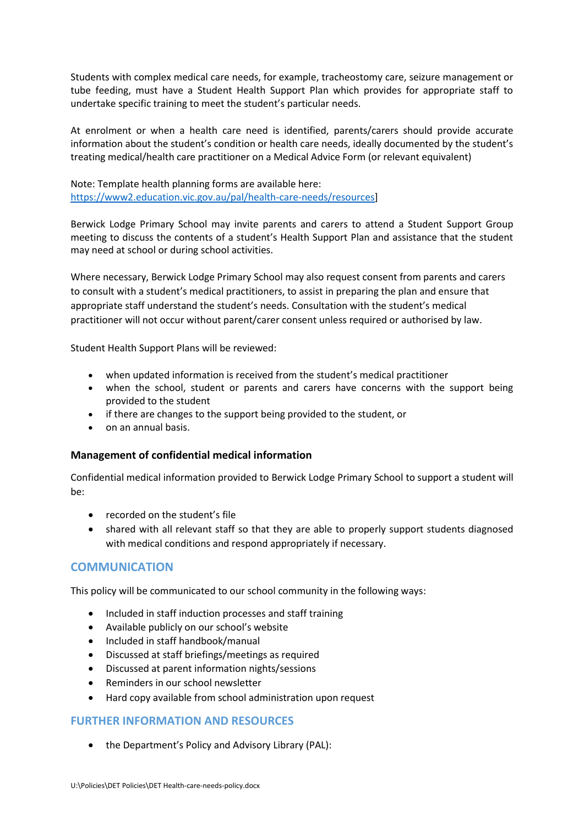Students with complex medical care needs, for example, tracheostomy care, seizure management or tube feeding, must have a Student Health Support Plan which provides for appropriate staff to undertake specific training to meet the student's particular needs.

At enrolment or when a health care need is identified, parents/carers should provide accurate information about the student's condition or health care needs, ideally documented by the student's treating medical/health care practitioner on a Medical Advice Form (or relevant equivalent)

Note: Template health planning forms are available here: [https://www2.education.vic.gov.au/pal/health-care-needs/resources\]](https://www2.education.vic.gov.au/pal/health-care-needs/resources)

Berwick Lodge Primary School may invite parents and carers to attend a Student Support Group meeting to discuss the contents of a student's Health Support Plan and assistance that the student may need at school or during school activities.

Where necessary, Berwick Lodge Primary School may also request consent from parents and carers to consult with a student's medical practitioners, to assist in preparing the plan and ensure that appropriate staff understand the student's needs. Consultation with the student's medical practitioner will not occur without parent/carer consent unless required or authorised by law.

Student Health Support Plans will be reviewed:

- when updated information is received from the student's medical practitioner
- when the school, student or parents and carers have concerns with the support being provided to the student
- if there are changes to the support being provided to the student, or
- on an annual basis.

# **Management of confidential medical information**

Confidential medical information provided to Berwick Lodge Primary School to support a student will be:

- recorded on the student's file
- shared with all relevant staff so that they are able to properly support students diagnosed with medical conditions and respond appropriately if necessary.

# **COMMUNICATION**

This policy will be communicated to our school community in the following ways:

- Included in staff induction processes and staff training
- Available publicly on our school's website
- Included in staff handbook/manual
- Discussed at staff briefings/meetings as required
- Discussed at parent information nights/sessions
- Reminders in our school newsletter
- Hard copy available from school administration upon request

# **FURTHER INFORMATION AND RESOURCES**

• the Department's Policy and Advisory Library (PAL):